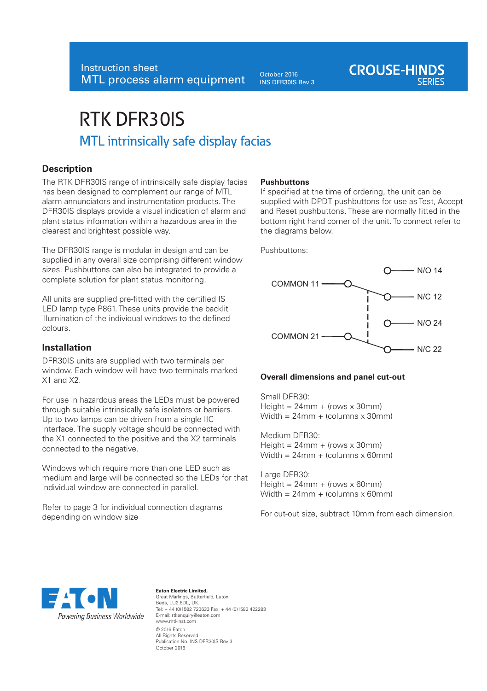October 2016 INS DFR30IS Rev 3

# RTK DFR30IS MTL intrinsically safe display facias

## **Description**

The RTK DFR30IS range of intrinsically safe display facias has been designed to complement our range of MTL alarm annunciators and instrumentation products. The DFR30IS displays provide a visual indication of alarm and plant status information within a hazardous area in the clearest and brightest possible way.

The DFR30IS range is modular in design and can be supplied in any overall size comprising different window sizes. Pushbuttons can also be integrated to provide a complete solution for plant status monitoring.

All units are supplied pre-fitted with the certified IS LED lamp type P861. These units provide the backlit illumination of the individual windows to the defined colours.

## **Installation**

DFR30IS units are supplied with two terminals per window. Each window will have two terminals marked X1 and X2.

For use in hazardous areas the LEDs must be powered through suitable intrinsically safe isolators or barriers. Up to two lamps can be driven from a single IIC interface. The supply voltage should be connected with the X1 connected to the positive and the X2 terminals connected to the negative.

Windows which require more than one LED such as medium and large will be connected so the LEDs for that individual window are connected in parallel.

Refer to page 3 for individual connection diagrams depending on window size

#### **Pushbuttons**

If specified at the time of ordering, the unit can be supplied with DPDT pushbuttons for use as Test, Accept and Reset pushbuttons. These are normally fitted in the bottom right hand corner of the unit. To connect refer to the diagrams below.

**CROUSE-HINDS** 

Pushbuttons:



#### **Overall dimensions and panel cut-out**

Small DFR30:  $Height = 24mm + (rows × 30mm)$ Width =  $24$ mm + (columns x 30mm)

Medium DFR30:  $Height = 24mm + (rows × 30mm)$  $Width = 24mm + (columns × 60mm)$ 

Large DFR30:  $Height = 24mm + (rows × 60mm)$  $Width = 24mm + (columns × 60mm)$ 

For cut-out size, subtract 10mm from each dimension.



#### **Eaton Electric Limited,**  Great Marlings, Butterfield, Luton Beds, LU2 8DL, UK. Tel: + 44 (0)1582 723633 Fax: + 44 (0)1582 422283 E-mail: rtkenquiry@eaton.com www.mtl-inst.com © 2016 Eaton All Rights Reserved Publication No. INS DFR30IS Rev 3 October 2016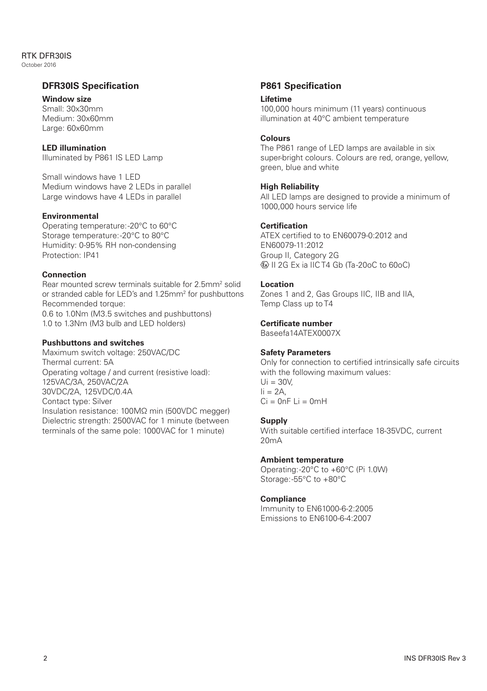## RTK DFR30IS

October 2016

## **DFR30IS Specification**

#### **Window size**

Small: 30x30mm Medium: 30x60mm Large: 60x60mm

### **LED illumination**

Illuminated by P861 IS LED Lamp

Small windows have 1 LED Medium windows have 2 LEDs in parallel Large windows have 4 LEDs in parallel

#### **Environmental**

Operating temperature: -20°C to 60°C Storage temperature: -20°C to 80°C Humidity: 0-95% RH non-condensing Protection: IP41

## **Connection**

Rear mounted screw terminals suitable for 2.5mm<sup>2</sup> solid or stranded cable for LED's and 1.25mm<sup>2</sup> for pushbuttons Recommended torque: 0.6 to 1.0Nm (M3.5 switches and pushbuttons)

1.0 to 1.3Nm (M3 bulb and LED holders)

## **Pushbuttons and switches**

Maximum switch voltage: 250VAC/DC Thermal current: 5A Operating voltage / and current (resistive load): 125VAC/3A, 250VAC/2A 30VDC/2A, 125VDC/0.4A Contact type: Silver

Insulation resistance: 100MΩ min (500VDC megger) Dielectric strength: 2500VAC for 1 minute (between terminals of the same pole: 1000VAC for 1 minute)

## **P861 Specification**

#### **Lifetime**

100,000 hours minimum (11 years) continuous illumination at 40°C ambient temperature

#### **Colours**

The P861 range of LED lamps are available in six super-bright colours. Colours are red, orange, yellow, green, blue and white

#### **High Reliability**

All LED lamps are designed to provide a minimum of 1000,000 hours service life

#### **Certification**

ATEX certified to to EN60079-0:2012 and EN60079-11:2012 Group II, Category 2G II 2G Ex ia IIC T4 Gb (Ta -20oC to 60oC)

#### **Location**

Zones 1 and 2, Gas Groups IIC, IIB and IIA, Temp Class up to T4

#### **Certificate number**

Baseefa14ATEX0007X

#### **Safety Parameters**

Only for connection to certified intrinsically safe circuits with the following maximum values:  $Ui = 30V$  $I = 2A$  $Ci = 0nF$   $I = 0mH$ 

#### **Supply**

With suitable certified interface 18-35VDC, current  $20m\Delta$ 

#### **Ambient temperature**

Operating: -20°C to +60°C (Pi 1.0W) Storage: -55°C to +80°C

#### **Compliance**

Immunity to EN61000-6-2:2005 Emissions to EN6100-6-4:2007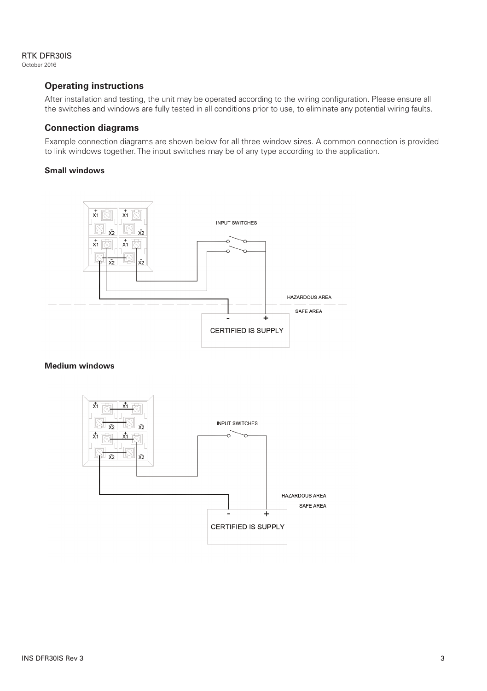### RTK DFR30IS

October 2016

## **Operating instructions**

After installation and testing, the unit may be operated according to the wiring configuration. Please ensure all the switches and windows are fully tested in all conditions prior to use, to eliminate any potential wiring faults.

## **Connection diagrams**

Example connection diagrams are shown below for all three window sizes. A common connection is provided to link windows together. The input switches may be of any type according to the application.

## **Small windows**



#### **Medium windows**